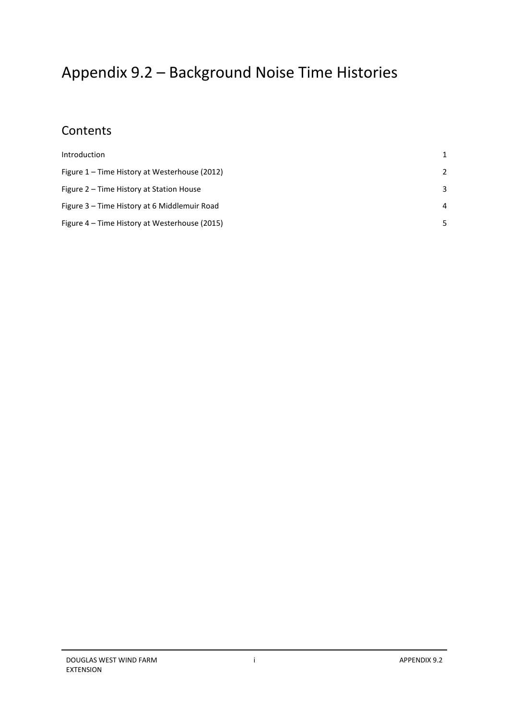## Appendix 9.2 – Background Noise Time Histories

## **Contents**

| Introduction                                  |   |
|-----------------------------------------------|---|
| Figure 1 – Time History at Westerhouse (2012) |   |
| Figure 2 – Time History at Station House      | 3 |
| Figure 3 – Time History at 6 Middlemuir Road  | 4 |
| Figure 4 – Time History at Westerhouse (2015) | д |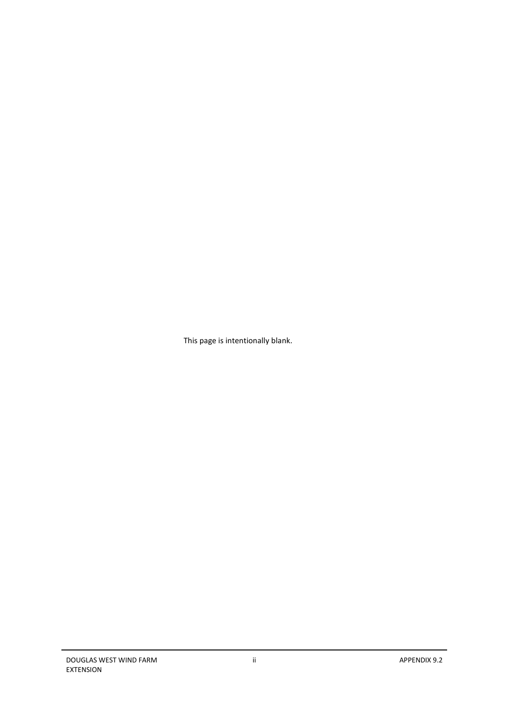This page is intentionally blank.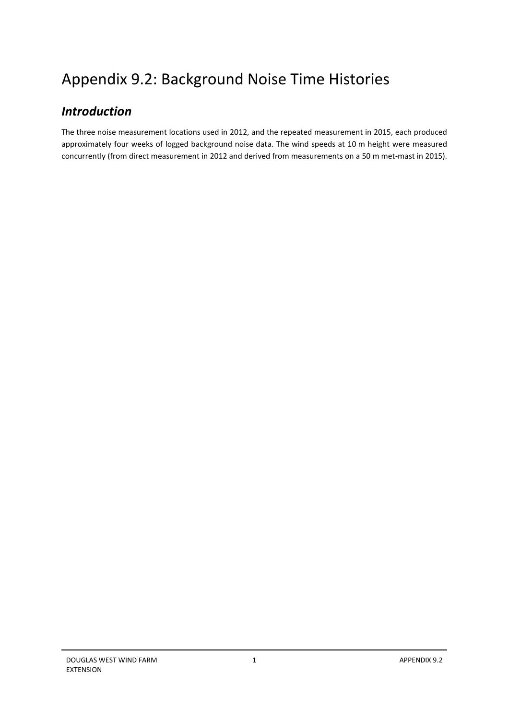## Appendix 9.2: Background Noise Time Histories

## <span id="page-2-0"></span>*Introduction*

The three noise measurement locations used in 2012, and the repeated measurement in 2015, each produced approximately four weeks of logged background noise data. The wind speeds at 10 m height were measured concurrently (from direct measurement in 2012 and derived from measurements on a 50 m met-mast in 2015).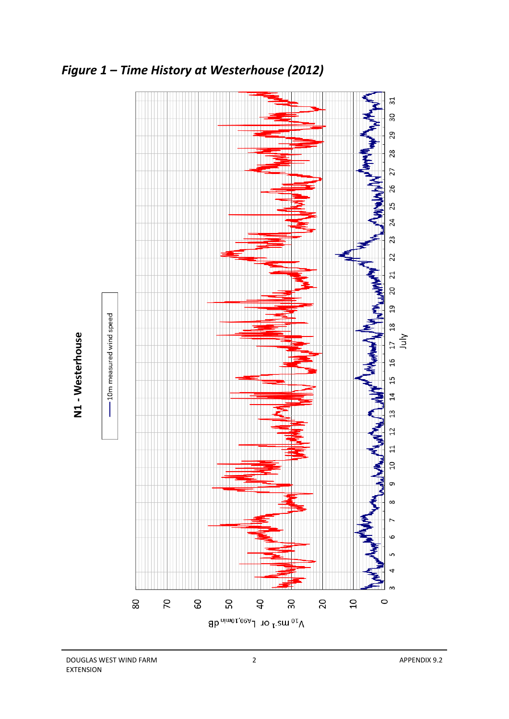

<span id="page-3-0"></span>*Figure 1 – Time History at Westerhouse (2012)*

N1 - Westerhouse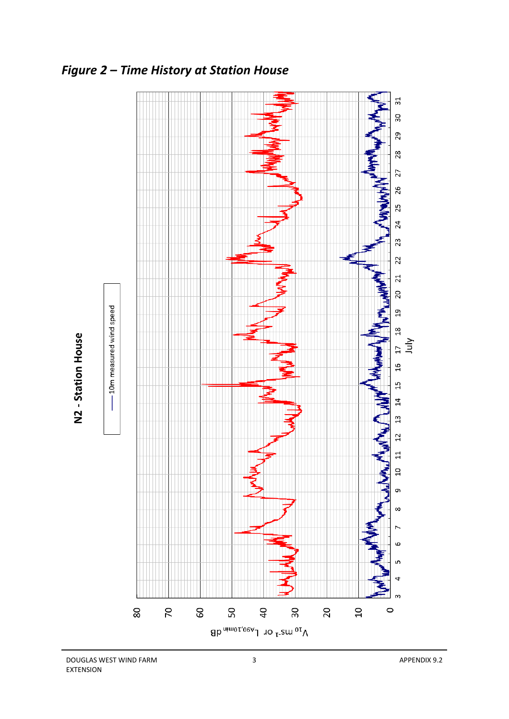

<span id="page-4-0"></span>*Figure 2 – Time History at Station House*

N2 - Station House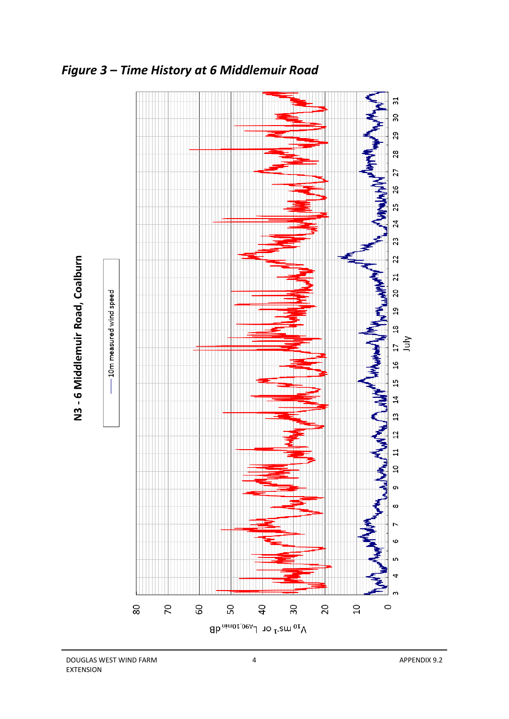

<span id="page-5-0"></span>*Figure 3 – Time History at 6 Middlemuir Road*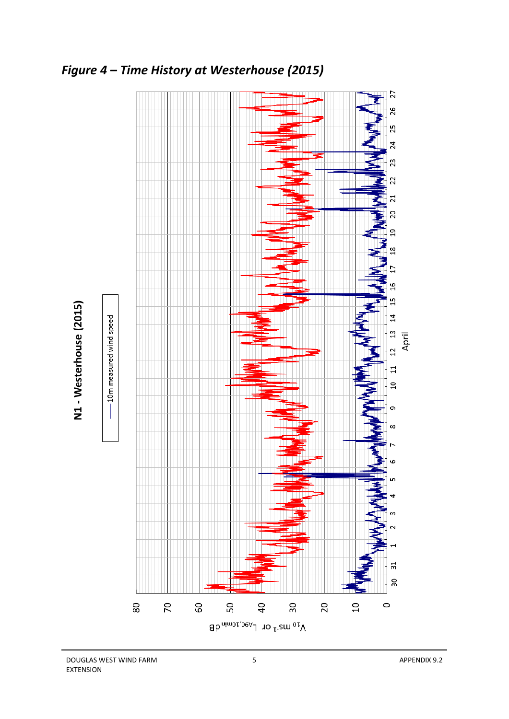

<span id="page-6-0"></span>*Figure 4 – Time History at Westerhouse (2015)*

N1 - Westerhouse (2015)